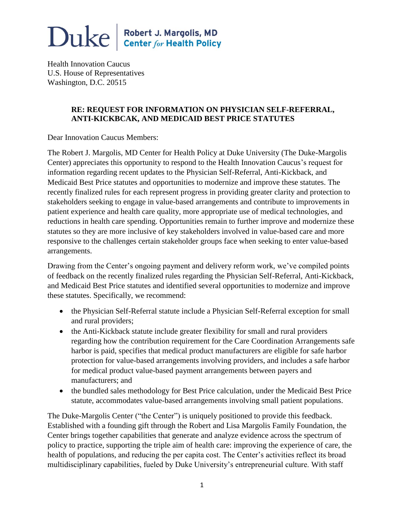

Health Innovation Caucus U.S. House of Representatives Washington, D.C. 20515

#### **RE: REQUEST FOR INFORMATION ON PHYSICIAN SELF-REFERRAL, ANTI-KICKBCAK, AND MEDICAID BEST PRICE STATUTES**

Dear Innovation Caucus Members:

The Robert J. Margolis, MD Center for Health Policy at Duke University (The Duke-Margolis Center) appreciates this opportunity to respond to the Health Innovation Caucus's request for information regarding recent updates to the Physician Self-Referral, Anti-Kickback, and Medicaid Best Price statutes and opportunities to modernize and improve these statutes. The recently finalized rules for each represent progress in providing greater clarity and protection to stakeholders seeking to engage in value-based arrangements and contribute to improvements in patient experience and health care quality, more appropriate use of medical technologies, and reductions in health care spending. Opportunities remain to further improve and modernize these statutes so they are more inclusive of key stakeholders involved in value-based care and more responsive to the challenges certain stakeholder groups face when seeking to enter value-based arrangements.

Drawing from the Center's ongoing payment and delivery reform work, we've compiled points of feedback on the recently finalized rules regarding the Physician Self-Referral, Anti-Kickback, and Medicaid Best Price statutes and identified several opportunities to modernize and improve these statutes. Specifically, we recommend:

- the Physician Self-Referral statute include a Physician Self-Referral exception for small and rural providers;
- the Anti-Kickback statute include greater flexibility for small and rural providers regarding how the contribution requirement for the Care Coordination Arrangements safe harbor is paid, specifies that medical product manufacturers are eligible for safe harbor protection for value-based arrangements involving providers, and includes a safe harbor for medical product value-based payment arrangements between payers and manufacturers; and
- the bundled sales methodology for Best Price calculation, under the Medicaid Best Price statute, accommodates value-based arrangements involving small patient populations.

The Duke-Margolis Center ("the Center") is uniquely positioned to provide this feedback. Established with a founding gift through the Robert and Lisa Margolis Family Foundation, the Center brings together capabilities that generate and analyze evidence across the spectrum of policy to practice, supporting the triple aim of health care: improving the experience of care, the health of populations, and reducing the per capita cost. The Center's activities reflect its broad multidisciplinary capabilities, fueled by Duke University's entrepreneurial culture. With staff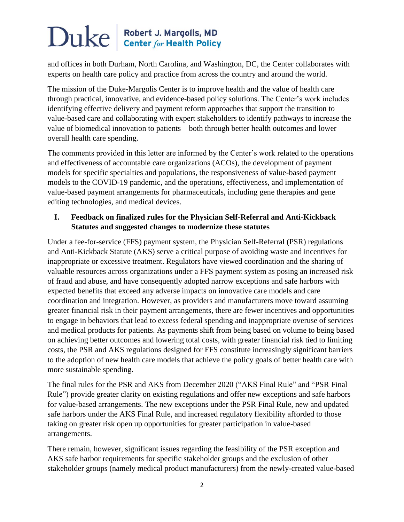and offices in both Durham, North Carolina, and Washington, DC, the Center collaborates with experts on health care policy and practice from across the country and around the world.

The mission of the Duke-Margolis Center is to improve health and the value of health care through practical, innovative, and evidence-based policy solutions. The Center's work includes identifying effective delivery and payment reform approaches that support the transition to value-based care and collaborating with expert stakeholders to identify pathways to increase the value of biomedical innovation to patients – both through better health outcomes and lower overall health care spending.

The comments provided in this letter are informed by the Center's work related to the operations and effectiveness of accountable care organizations (ACOs), the development of payment models for specific specialties and populations, the responsiveness of value-based payment models to the COVID-19 pandemic, and the operations, effectiveness, and implementation of value-based payment arrangements for pharmaceuticals, including gene therapies and gene editing technologies, and medical devices.

#### **I. Feedback on finalized rules for the Physician Self-Referral and Anti-Kickback Statutes and suggested changes to modernize these statutes**

Under a fee-for-service (FFS) payment system, the Physician Self-Referral (PSR) regulations and Anti-Kickback Statute (AKS) serve a critical purpose of avoiding waste and incentives for inappropriate or excessive treatment. Regulators have viewed coordination and the sharing of valuable resources across organizations under a FFS payment system as posing an increased risk of fraud and abuse, and have consequently adopted narrow exceptions and safe harbors with expected benefits that exceed any adverse impacts on innovative care models and care coordination and integration. However, as providers and manufacturers move toward assuming greater financial risk in their payment arrangements, there are fewer incentives and opportunities to engage in behaviors that lead to excess federal spending and inappropriate overuse of services and medical products for patients. As payments shift from being based on volume to being based on achieving better outcomes and lowering total costs, with greater financial risk tied to limiting costs, the PSR and AKS regulations designed for FFS constitute increasingly significant barriers to the adoption of new health care models that achieve the policy goals of better health care with more sustainable spending.

The final rules for the PSR and AKS from December 2020 ("AKS Final Rule" and "PSR Final Rule") provide greater clarity on existing regulations and offer new exceptions and safe harbors for value-based arrangements. The new exceptions under the PSR Final Rule, new and updated safe harbors under the AKS Final Rule, and increased regulatory flexibility afforded to those taking on greater risk open up opportunities for greater participation in value-based arrangements.

There remain, however, significant issues regarding the feasibility of the PSR exception and AKS safe harbor requirements for specific stakeholder groups and the exclusion of other stakeholder groups (namely medical product manufacturers) from the newly-created value-based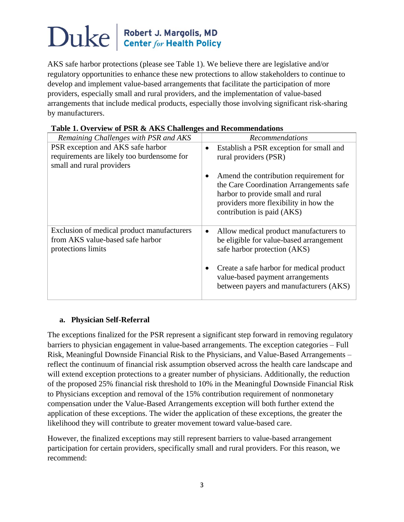AKS safe harbor protections (please see Table 1). We believe there are legislative and/or regulatory opportunities to enhance these new protections to allow stakeholders to continue to develop and implement value-based arrangements that facilitate the participation of more providers, especially small and rural providers, and the implementation of value-based arrangements that include medical products, especially those involving significant risk-sharing by manufacturers.

| able it over the well big controlled and incommentation                                              |                                                                                                                                                                                               |
|------------------------------------------------------------------------------------------------------|-----------------------------------------------------------------------------------------------------------------------------------------------------------------------------------------------|
| Remaining Challenges with PSR and AKS                                                                | Recommendations                                                                                                                                                                               |
| PSR exception and AKS safe harbor                                                                    | Establish a PSR exception for small and<br>$\bullet$                                                                                                                                          |
| requirements are likely too burdensome for<br>small and rural providers                              | rural providers (PSR)                                                                                                                                                                         |
|                                                                                                      | Amend the contribution requirement for<br>the Care Coordination Arrangements safe<br>harbor to provide small and rural<br>providers more flexibility in how the<br>contribution is paid (AKS) |
| Exclusion of medical product manufacturers<br>from AKS value-based safe harbor<br>protections limits | Allow medical product manufacturers to<br>$\bullet$<br>be eligible for value-based arrangement<br>safe harbor protection (AKS)                                                                |
|                                                                                                      | Create a safe harbor for medical product<br>value-based payment arrangements<br>between payers and manufacturers (AKS)                                                                        |

#### **Table 1. Overview of PSR & AKS Challenges and Recommendations**

### **a. Physician Self-Referral**

The exceptions finalized for the PSR represent a significant step forward in removing regulatory barriers to physician engagement in value-based arrangements. The exception categories – Full Risk, Meaningful Downside Financial Risk to the Physicians, and Value-Based Arrangements – reflect the continuum of financial risk assumption observed across the health care landscape and will extend exception protections to a greater number of physicians. Additionally, the reduction of the proposed 25% financial risk threshold to 10% in the Meaningful Downside Financial Risk to Physicians exception and removal of the 15% contribution requirement of nonmonetary compensation under the Value-Based Arrangements exception will both further extend the application of these exceptions. The wider the application of these exceptions, the greater the likelihood they will contribute to greater movement toward value-based care.

However, the finalized exceptions may still represent barriers to value-based arrangement participation for certain providers, specifically small and rural providers. For this reason, we recommend: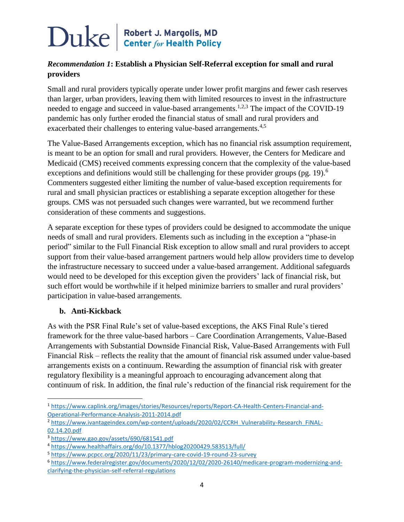### *Recommendation 1***: Establish a Physician Self-Referral exception for small and rural providers**

Small and rural providers typically operate under lower profit margins and fewer cash reserves than larger, urban providers, leaving them with limited resources to invest in the infrastructure needed to engage and succeed in value-based arrangements.<sup>1,2,3</sup> The impact of the COVID-19 pandemic has only further eroded the financial status of small and rural providers and exacerbated their challenges to entering value-based arrangements.<sup>4,5</sup>

The Value-Based Arrangements exception, which has no financial risk assumption requirement, is meant to be an option for small and rural providers. However, the Centers for Medicare and Medicaid (CMS) received comments expressing concern that the complexity of the value-based exceptions and definitions would still be challenging for these provider groups (pg. 19).<sup>6</sup> Commenters suggested either limiting the number of value-based exception requirements for rural and small physician practices or establishing a separate exception altogether for these groups. CMS was not persuaded such changes were warranted, but we recommend further consideration of these comments and suggestions.

A separate exception for these types of providers could be designed to accommodate the unique needs of small and rural providers. Elements such as including in the exception a "phase-in period" similar to the Full Financial Risk exception to allow small and rural providers to accept support from their value-based arrangement partners would help allow providers time to develop the infrastructure necessary to succeed under a value-based arrangement. Additional safeguards would need to be developed for this exception given the providers' lack of financial risk, but such effort would be worthwhile if it helped minimize barriers to smaller and rural providers' participation in value-based arrangements.

#### **b. Anti-Kickback**

 $\overline{\phantom{a}}$ 

As with the PSR Final Rule's set of value-based exceptions, the AKS Final Rule's tiered framework for the three value-based harbors – Care Coordination Arrangements, Value-Based Arrangements with Substantial Downside Financial Risk, Value-Based Arrangements with Full Financial Risk – reflects the reality that the amount of financial risk assumed under value-based arrangements exists on a continuum. Rewarding the assumption of financial risk with greater regulatory flexibility is a meaningful approach to encouraging advancement along that continuum of risk. In addition, the final rule's reduction of the financial risk requirement for the

<sup>1</sup> [https://www.caplink.org/images/stories/Resources/reports/Report-CA-Health-Centers-Financial-and-](https://www.caplink.org/images/stories/Resources/reports/Report-CA-Health-Centers-Financial-and-Operational-Performance-Analysis-2011-2014.pdf)[Operational-Performance-Analysis-2011-2014.pdf](https://www.caplink.org/images/stories/Resources/reports/Report-CA-Health-Centers-Financial-and-Operational-Performance-Analysis-2011-2014.pdf)

<sup>2</sup> [https://www.ivantageindex.com/wp-content/uploads/2020/02/CCRH\\_Vulnerability-Research\\_FiNAL-](https://www.ivantageindex.com/wp-content/uploads/2020/02/CCRH_Vulnerability-Research_FiNAL-02.14.20.pdf)[02.14.20.pdf](https://www.ivantageindex.com/wp-content/uploads/2020/02/CCRH_Vulnerability-Research_FiNAL-02.14.20.pdf)

<sup>3</sup> <https://www.gao.gov/assets/690/681541.pdf>

<sup>4</sup> <https://www.healthaffairs.org/do/10.1377/hblog20200429.583513/full/>

<sup>5</sup> <https://www.pcpcc.org/2020/11/23/primary-care-covid-19-round-23-survey>

<sup>6</sup> [https://www.federalregister.gov/documents/2020/12/02/2020-26140/medicare-program-modernizing-and](https://www.federalregister.gov/documents/2020/12/02/2020-26140/medicare-program-modernizing-and-clarifying-the-physician-self-referral-regulations)[clarifying-the-physician-self-referral-regulations](https://www.federalregister.gov/documents/2020/12/02/2020-26140/medicare-program-modernizing-and-clarifying-the-physician-self-referral-regulations)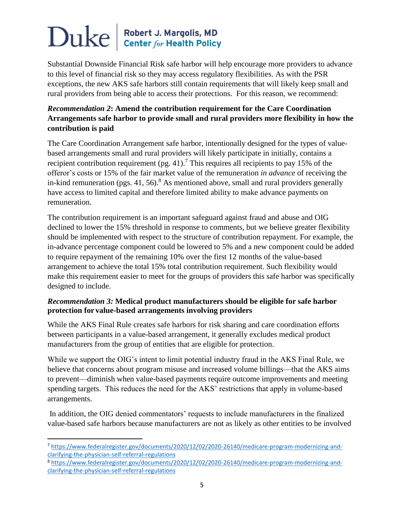Substantial Downside Financial Risk safe harbor will help encourage more providers to advance to this level of financial risk so they may access regulatory flexibilities. As with the PSR exceptions, the new AKS safe harbors still contain requirements that will likely keep small and rural providers from being able to access their protections. For this reason, we recommend:

### *Recommendation 2***: Amend the contribution requirement for the Care Coordination Arrangements safe harbor to provide small and rural providers more flexibility in how the contribution is paid**

The Care Coordination Arrangement safe harbor, intentionally designed for the types of valuebased arrangements small and rural providers will likely participate in initially, contains a recipient contribution requirement (pg. 41).<sup>7</sup> This requires all recipients to pay 15% of the offeror's costs or 15% of the fair market value of the remuneration *in advance* of receiving the in-kind remuneration (pgs. 41, 56).<sup>8</sup> As mentioned above, small and rural providers generally have access to limited capital and therefore limited ability to make advance payments on remuneration.

The contribution requirement is an important safeguard against fraud and abuse and OIG declined to lower the 15% threshold in response to comments, but we believe greater flexibility should be implemented with respect to the structure of contribution repayment. For example, the in-advance percentage component could be lowered to 5% and a new component could be added to require repayment of the remaining 10% over the first 12 months of the value-based arrangement to achieve the total 15% total contribution requirement. Such flexibility would make this requirement easier to meet for the groups of providers this safe harbor was specifically designed to include.

### *Recommendation 3:* **Medical product manufacturers should be eligible for safe harbor protection for value-based arrangements involving providers**

While the AKS Final Rule creates safe harbors for risk sharing and care coordination efforts between participants in a value-based arrangement, it generally excludes medical product manufacturers from the group of entities that are eligible for protection.

While we support the OIG's intent to limit potential industry fraud in the AKS Final Rule, we believe that concerns about program misuse and increased volume billings—that the AKS aims to prevent—diminish when value-based payments require outcome improvements and meeting spending targets. This reduces the need for the AKS' restrictions that apply in volume-based arrangements.

In addition, the OIG denied commentators' requests to include manufacturers in the finalized value-based safe harbors because manufacturers are not as likely as other entities to be involved

l

<sup>8</sup> [https://www.federalregister.gov/documents/2020/12/02/2020-26140/medicare-program-modernizing-and](https://www.federalregister.gov/documents/2020/12/02/2020-26140/medicare-program-modernizing-and-clarifying-the-physician-self-referral-regulations)[clarifying-the-physician-self-referral-regulations](https://www.federalregister.gov/documents/2020/12/02/2020-26140/medicare-program-modernizing-and-clarifying-the-physician-self-referral-regulations)

<sup>7</sup> [https://www.federalregister.gov/documents/2020/12/02/2020-26140/medicare-program-modernizing-and](https://www.federalregister.gov/documents/2020/12/02/2020-26140/medicare-program-modernizing-and-clarifying-the-physician-self-referral-regulations)[clarifying-the-physician-self-referral-regulations](https://www.federalregister.gov/documents/2020/12/02/2020-26140/medicare-program-modernizing-and-clarifying-the-physician-self-referral-regulations)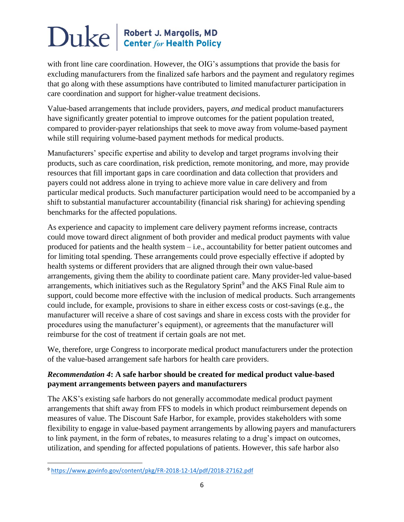with front line care coordination. However, the OIG's assumptions that provide the basis for excluding manufacturers from the finalized safe harbors and the payment and regulatory regimes that go along with these assumptions have contributed to limited manufacturer participation in care coordination and support for higher-value treatment decisions.

Value-based arrangements that include providers, payers, *and* medical product manufacturers have significantly greater potential to improve outcomes for the patient population treated, compared to provider-payer relationships that seek to move away from volume-based payment while still requiring volume-based payment methods for medical products.

Manufacturers' specific expertise and ability to develop and target programs involving their products, such as care coordination, risk prediction, remote monitoring, and more, may provide resources that fill important gaps in care coordination and data collection that providers and payers could not address alone in trying to achieve more value in care delivery and from particular medical products. Such manufacturer participation would need to be accompanied by a shift to substantial manufacturer accountability (financial risk sharing) for achieving spending benchmarks for the affected populations.

As experience and capacity to implement care delivery payment reforms increase, contracts could move toward direct alignment of both provider and medical product payments with value produced for patients and the health system – i.e., accountability for better patient outcomes and for limiting total spending. These arrangements could prove especially effective if adopted by health systems or different providers that are aligned through their own value-based arrangements, giving them the ability to coordinate patient care. Many provider-led value-based arrangements, which initiatives such as the Regulatory Sprint<sup>9</sup> and the AKS Final Rule aim to support, could become more effective with the inclusion of medical products. Such arrangements could include, for example, provisions to share in either excess costs or cost-savings (e.g., the manufacturer will receive a share of cost savings and share in excess costs with the provider for procedures using the manufacturer's equipment), or agreements that the manufacturer will reimburse for the cost of treatment if certain goals are not met.

We, therefore, urge Congress to incorporate medical product manufacturers under the protection of the value-based arrangement safe harbors for health care providers.

### *Recommendation 4***: A safe harbor should be created for medical product value-based payment arrangements between payers and manufacturers**

The AKS's existing safe harbors do not generally accommodate medical product payment arrangements that shift away from FFS to models in which product reimbursement depends on measures of value. The Discount Safe Harbor, for example, provides stakeholders with some flexibility to engage in value-based payment arrangements by allowing payers and manufacturers to link payment, in the form of rebates, to measures relating to a drug's impact on outcomes, utilization, and spending for affected populations of patients. However, this safe harbor also

 $\overline{\phantom{a}}$ 

<sup>9</sup> <https://www.govinfo.gov/content/pkg/FR-2018-12-14/pdf/2018-27162.pdf>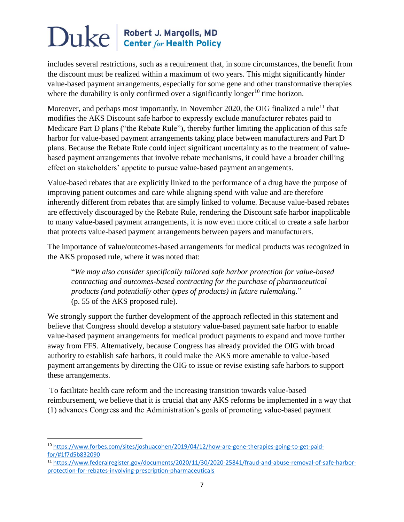includes several restrictions, such as a requirement that, in some circumstances, the benefit from the discount must be realized within a maximum of two years. This might significantly hinder value-based payment arrangements, especially for some gene and other transformative therapies where the durability is only confirmed over a significantly longer<sup>10</sup> time horizon.

Moreover, and perhaps most importantly, in November 2020, the OIG finalized a rule<sup>11</sup> that modifies the AKS Discount safe harbor to expressly exclude manufacturer rebates paid to Medicare Part D plans ("the Rebate Rule"), thereby further limiting the application of this safe harbor for value-based payment arrangements taking place between manufacturers and Part D plans. Because the Rebate Rule could inject significant uncertainty as to the treatment of valuebased payment arrangements that involve rebate mechanisms, it could have a broader chilling effect on stakeholders' appetite to pursue value-based payment arrangements.

Value-based rebates that are explicitly linked to the performance of a drug have the purpose of improving patient outcomes and care while aligning spend with value and are therefore inherently different from rebates that are simply linked to volume. Because value-based rebates are effectively discouraged by the Rebate Rule, rendering the Discount safe harbor inapplicable to many value-based payment arrangements, it is now even more critical to create a safe harbor that protects value-based payment arrangements between payers and manufacturers.

The importance of value/outcomes-based arrangements for medical products was recognized in the AKS proposed rule, where it was noted that:

"*We may also consider specifically tailored safe harbor protection for value-based contracting and outcomes-based contracting for the purchase of pharmaceutical products (and potentially other types of products) in future rulemaking.*" (p. 55 of the AKS proposed rule).

We strongly support the further development of the approach reflected in this statement and believe that Congress should develop a statutory value-based payment safe harbor to enable value-based payment arrangements for medical product payments to expand and move further away from FFS. Alternatively, because Congress has already provided the OIG with broad authority to establish safe harbors, it could make the AKS more amenable to value-based payment arrangements by directing the OIG to issue or revise existing safe harbors to support these arrangements.

To facilitate health care reform and the increasing transition towards value-based reimbursement, we believe that it is crucial that any AKS reforms be implemented in a way that (1) advances Congress and the Administration's goals of promoting value-based payment

l

<sup>11</sup> [https://www.federalregister.gov/documents/2020/11/30/2020-25841/fraud-and-abuse-removal-of-safe-harbor](https://www.federalregister.gov/documents/2020/11/30/2020-25841/fraud-and-abuse-removal-of-safe-harbor-protection-for-rebates-involving-prescription-pharmaceuticals)[protection-for-rebates-involving-prescription-pharmaceuticals](https://www.federalregister.gov/documents/2020/11/30/2020-25841/fraud-and-abuse-removal-of-safe-harbor-protection-for-rebates-involving-prescription-pharmaceuticals)

<sup>&</sup>lt;sup>10</sup> [https://www.forbes.com/sites/joshuacohen/2019/04/12/how-are-gene-therapies-going-to-get-paid](https://www.forbes.com/sites/joshuacohen/2019/04/12/how-are-gene-therapies-going-to-get-paid-for/#1f7d5b832090)[for/#1f7d5b832090](https://www.forbes.com/sites/joshuacohen/2019/04/12/how-are-gene-therapies-going-to-get-paid-for/#1f7d5b832090)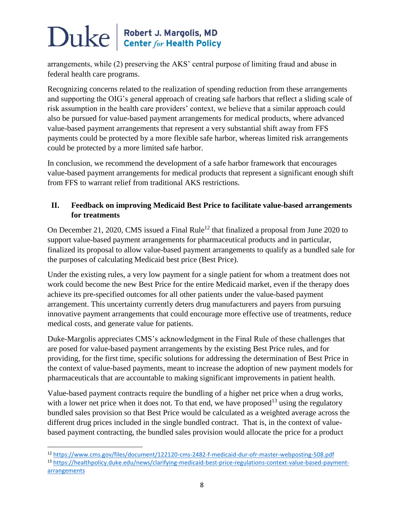arrangements, while (2) preserving the AKS' central purpose of limiting fraud and abuse in federal health care programs.

Recognizing concerns related to the realization of spending reduction from these arrangements and supporting the OIG's general approach of creating safe harbors that reflect a sliding scale of risk assumption in the health care providers' context, we believe that a similar approach could also be pursued for value-based payment arrangements for medical products, where advanced value-based payment arrangements that represent a very substantial shift away from FFS payments could be protected by a more flexible safe harbor, whereas limited risk arrangements could be protected by a more limited safe harbor.

In conclusion, we recommend the development of a safe harbor framework that encourages value-based payment arrangements for medical products that represent a significant enough shift from FFS to warrant relief from traditional AKS restrictions.

### **II. Feedback on improving Medicaid Best Price to facilitate value-based arrangements for treatments**

On December 21, 2020, CMS issued a Final Rule<sup>12</sup> that finalized a proposal from June 2020 to support value-based payment arrangements for pharmaceutical products and in particular, finalized its proposal to allow value-based payment arrangements to qualify as a bundled sale for the purposes of calculating Medicaid best price (Best Price).

Under the existing rules, a very low payment for a single patient for whom a treatment does not work could become the new Best Price for the entire Medicaid market, even if the therapy does achieve its pre-specified outcomes for all other patients under the value-based payment arrangement. This uncertainty currently deters drug manufacturers and payers from pursuing innovative payment arrangements that could encourage more effective use of treatments, reduce medical costs, and generate value for patients.

Duke-Margolis appreciates CMS's acknowledgment in the Final Rule of these challenges that are posed for value-based payment arrangements by the existing Best Price rules, and for providing, for the first time, specific solutions for addressing the determination of Best Price in the context of value-based payments, meant to increase the adoption of new payment models for pharmaceuticals that are accountable to making significant improvements in patient health.

Value-based payment contracts require the bundling of a higher net price when a drug works, with a lower net price when it does not. To that end, we have proposed<sup>13</sup> using the regulatory bundled sales provision so that Best Price would be calculated as a weighted average across the different drug prices included in the single bundled contract. That is, in the context of valuebased payment contracting, the bundled sales provision would allocate the price for a product

 $\overline{a}$ 

<sup>12</sup> <https://www.cms.gov/files/document/122120-cms-2482-f-medicaid-dur-ofr-master-webposting-508.pdf>

<sup>13</sup> [https://healthpolicy.duke.edu/news/clarifying-medicaid-best-price-regulations-context-value-based-payment](https://healthpolicy.duke.edu/news/clarifying-medicaid-best-price-regulations-context-value-based-payment-arrangements)[arrangements](https://healthpolicy.duke.edu/news/clarifying-medicaid-best-price-regulations-context-value-based-payment-arrangements)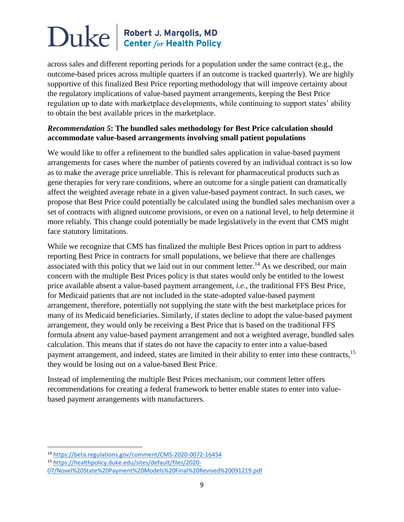across sales and different reporting periods for a population under the same contract (e.g., the outcome-based prices across multiple quarters if an outcome is tracked quarterly). We are highly supportive of this finalized Best Price reporting methodology that will improve certainty about the regulatory implications of value-based payment arrangements, keeping the Best Price regulation up to date with marketplace developments, while continuing to support states' ability to obtain the best available prices in the marketplace.

#### *Recommendation 5***: The bundled sales methodology for Best Price calculation should accommodate value-based arrangements involving small patient populations**

We would like to offer a refinement to the bundled sales application in value-based payment arrangements for cases where the number of patients covered by an individual contract is so low as to make the average price unreliable. This is relevant for pharmaceutical products such as gene therapies for very rare conditions, where an outcome for a single patient can dramatically affect the weighted average rebate in a given value-based payment contract. In such cases, we propose that Best Price could potentially be calculated using the bundled sales mechanism over a set of contracts with aligned outcome provisions, or even on a national level, to help determine it more reliably*.* This change could potentially be made legislatively in the event that CMS might face statutory limitations.

While we recognize that CMS has finalized the multiple Best Prices option in part to address reporting Best Price in contracts for small populations, we believe that there are challenges associated with this policy that we laid out in our comment letter.<sup>14</sup> As we described, our main concern with the multiple Best Prices policy is that states would only be entitled to the lowest price available absent a value-based payment arrangement, *i.e.*, the traditional FFS Best Price, for Medicaid patients that are not included in the state-adopted value-based payment arrangement, therefore, potentially not supplying the state with the best marketplace prices for many of its Medicaid beneficiaries. Similarly, if states decline to adopt the value-based payment arrangement, they would only be receiving a Best Price that is based on the traditional FFS formula absent any value-based payment arrangement and not a weighted average, bundled sales calculation. This means that if states do not have the capacity to enter into a value-based payment arrangement, and indeed, states are limited in their ability to enter into these contracts,<sup>15</sup> they would be losing out on a value-based Best Price.

Instead of implementing the multiple Best Prices mechanism, our comment letter offers recommendations for creating a federal framework to better enable states to enter into valuebased payment arrangements with manufacturers.

 $\overline{a}$ 

<sup>14</sup> <https://beta.regulations.gov/comment/CMS-2020-0072-16454>

<sup>15</sup> [https://healthpolicy.duke.edu/sites/default/files/2020-](https://healthpolicy.duke.edu/sites/default/files/2020-07/Novel%20State%20Payment%20Models%20Final%20Revised%20091219.pdf)

[<sup>07/</sup>Novel%20State%20Payment%20Models%20Final%20Revised%20091219.pdf](https://healthpolicy.duke.edu/sites/default/files/2020-07/Novel%20State%20Payment%20Models%20Final%20Revised%20091219.pdf)